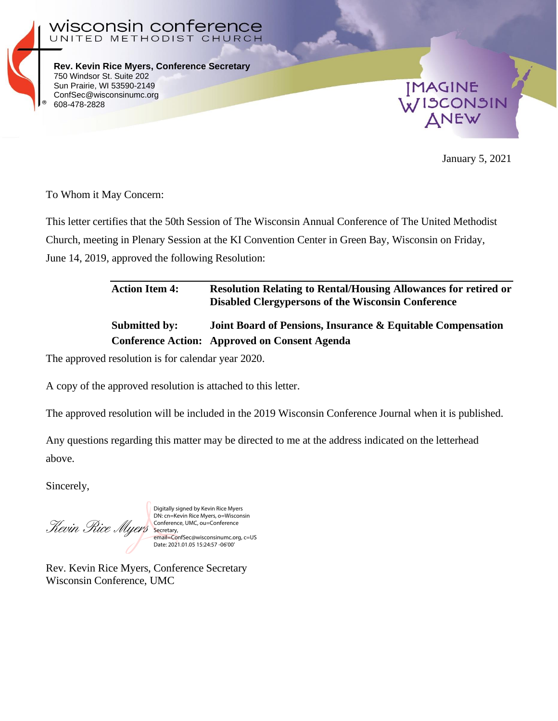

**Rev. Kevin Rice Myers, Conference Secretary** 750 Windsor St. Suite 202 Sun Prairie, WI 53590-2149 ConfSec@wisconsinumc.org 608-478-2828

UNITED METHODIST CHURCH

ın conterence



January 5, 2021

To Whom it May Concern:

wiscons

This letter certifies that the 50th Session of The Wisconsin Annual Conference of The United Methodist Church, meeting in Plenary Session at the KI Convention Center in Green Bay, Wisconsin on Friday, June 14, 2019, approved the following Resolution:

## **Action Item 4: Resolution Relating to Rental/Housing Allowances for retired or Disabled Clergypersons of the Wisconsin Conference Submitted by: Joint Board of Pensions, Insurance & Equitable Compensation Conference Action: Approved on Consent Agenda**

The approved resolution is for calendar year 2020.

A copy of the approved resolution is attached to this letter.

The approved resolution will be included in the 2019 Wisconsin Conference Journal when it is published.

Any questions regarding this matter may be directed to me at the address indicated on the letterhead above.

Sincerely,

Revin Rice Myers

Digitally signed by Kevin Rice Myers DN: cn=Kevin Rice Myers, o=Wisconsin Conference, UMC, ou=Conference Secretary, email=ConfSec@wisconsinumc.org, c=US Date: 2021.01.05 15:24:57 -06'00'

Rev. Kevin Rice Myers, Conference Secretary Wisconsin Conference, UMC